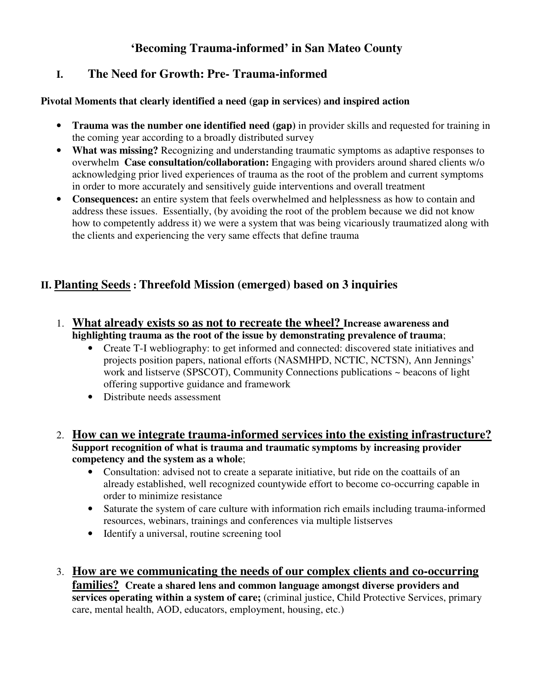## **'Becoming Trauma-informed' in San Mateo County**

## **I. The Need for Growth: Pre- Trauma-informed**

#### **Pivotal Moments that clearly identified a need (gap in services) and inspired action**

- **Trauma was the number one identified need (gap)** in provider skills and requested for training in the coming year according to a broadly distributed survey
- **What was missing?** Recognizing and understanding traumatic symptoms as adaptive responses to overwhelm **Case consultation/collaboration:** Engaging with providers around shared clients w/o acknowledging prior lived experiences of trauma as the root of the problem and current symptoms in order to more accurately and sensitively guide interventions and overall treatment
- **Consequences:** an entire system that feels overwhelmed and helplessness as how to contain and address these issues. Essentially, (by avoiding the root of the problem because we did not know how to competently address it) we were a system that was being vicariously traumatized along with the clients and experiencing the very same effects that define trauma

# **II. Planting Seeds : Threefold Mission (emerged) based on 3 inquiries**

- 1. **What already exists so as not to recreate the wheel? Increase awareness and highlighting trauma as the root of the issue by demonstrating prevalence of trauma**;
	- Create T-I webliography: to get informed and connected: discovered state initiatives and projects position papers, national efforts (NASMHPD, NCTIC, NCTSN), Ann Jennings' work and listserve (SPSCOT), Community Connections publications ~ beacons of light offering supportive guidance and framework
	- Distribute needs assessment
- 2. **How can we integrate trauma-informed services into the existing infrastructure? Support recognition of what is trauma and traumatic symptoms by increasing provider competency and the system as a whole**;
	- Consultation: advised not to create a separate initiative, but ride on the coattails of an already established, well recognized countywide effort to become co-occurring capable in order to minimize resistance
	- Saturate the system of care culture with information rich emails including trauma-informed resources, webinars, trainings and conferences via multiple listserves
	- Identify a universal, routine screening tool
- 3. **How are we communicating the needs of our complex clients and co-occurring families? Create a shared lens and common language amongst diverse providers and services operating within a system of care;** (criminal justice, Child Protective Services, primary care, mental health, AOD, educators, employment, housing, etc.)